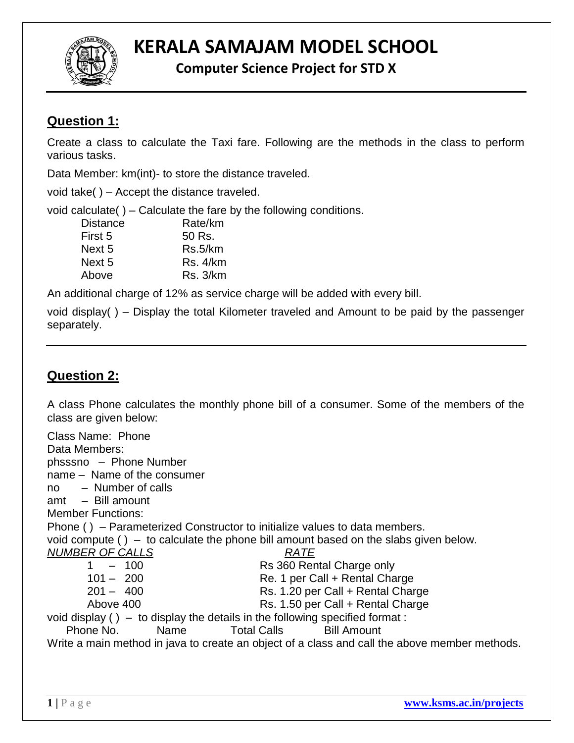

# **KERALA SAMAJAM MODEL SCHOOL**

**Computer Science Project for STD X**

## **Question 1:**

Create a class to calculate the Taxi fare. Following are the methods in the class to perform various tasks.

Data Member: km(int)- to store the distance traveled.

void take( ) – Accept the distance traveled.

void calculate( ) – Calculate the fare by the following conditions.

| <b>Distance</b> | Rate/km         |
|-----------------|-----------------|
| First 5         | 50 Rs.          |
| Next 5          | Rs.5/km         |
| Next 5          | <b>Rs. 4/km</b> |
| Above           | <b>Rs. 3/km</b> |

An additional charge of 12% as service charge will be added with every bill.

void display( ) – Display the total Kilometer traveled and Amount to be paid by the passenger separately.

## **Question 2:**

A class Phone calculates the monthly phone bill of a consumer. Some of the members of the class are given below:

Class Name: Phone Data Members: phsssno – Phone Number name – Name of the consumer no – Number of calls amt – Bill amount Member Functions: Phone ( ) – Parameterized Constructor to initialize values to data members. void compute ( ) – to calculate the phone bill amount based on the slabs given below. *NUMBER OF CALLS RATE* 1 – 100 Rs 360 Rental Charge only 101 – 200 Re. 1 per Call + Rental Charge 201 – 400 Rs. 1.20 per Call + Rental Charge Above 400 Rs. 1.50 per Call + Rental Charge void display ( ) – to display the details in the following specified format : Phone No. Name Total Calls Bill Amount Write a main method in java to create an object of a class and call the above member methods.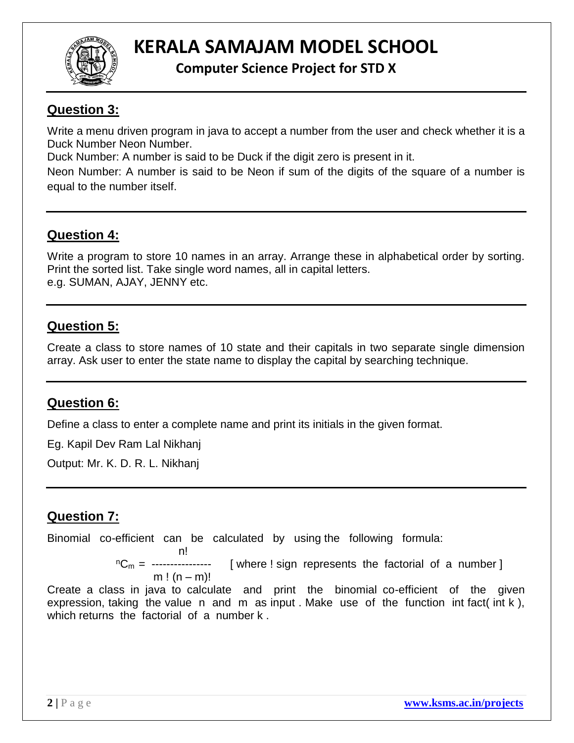

# **KERALA SAMAJAM MODEL SCHOOL**

**Computer Science Project for STD X**

### **Question 3:**

Write a menu driven program in java to accept a number from the user and check whether it is a Duck Number Neon Number.

Duck Number: A number is said to be Duck if the digit zero is present in it.

Neon Number: A number is said to be Neon if sum of the digits of the square of a number is equal to the number itself.

### **Question 4:**

Write a program to store 10 names in an array. Arrange these in alphabetical order by sorting. Print the sorted list. Take single word names, all in capital letters. e.g. SUMAN, AJAY, JENNY etc.

### **Question 5:**

Create a class to store names of 10 state and their capitals in two separate single dimension array. Ask user to enter the state name to display the capital by searching technique.

#### **Question 6:**

Define a class to enter a complete name and print its initials in the given format.

Eg. Kapil Dev Ram Lal Nikhanj

Output: Mr. K. D. R. L. Nikhanj

#### **Question 7:**

Binomial co-efficient can be calculated by using the following formula:

n! And the state of the state of the state of the state of the state of the state of the state of the state of

 $n_{\text{cm}} =$  ---------------- [ where ! sign represents the factorial of a number ]

m !  $(n - m)!$ 

Create a class in java to calculate and print the binomial co-efficient of the given expression, taking the value n and m as input . Make use of the function int fact( int k ), which returns the factorial of a number k.